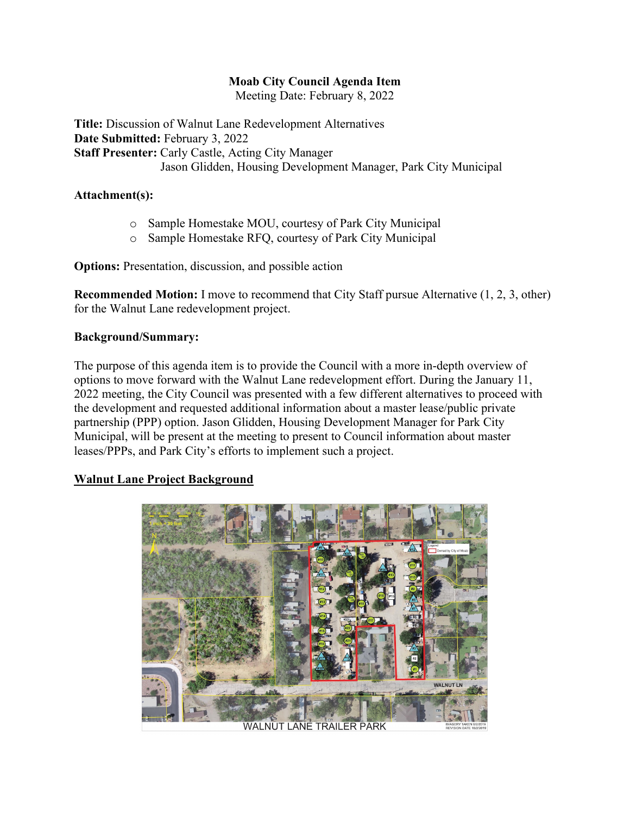#### **Moab City Council Agenda Item**

Meeting Date: February 8, 2022

**Title:** Discussion of Walnut Lane Redevelopment Alternatives **Date Submitted:** February 3, 2022 **Staff Presenter:** Carly Castle, Acting City Manager Jason Glidden, Housing Development Manager, Park City Municipal

#### **Attachment(s):**

- o Sample Homestake MOU, courtesy of Park City Municipal
- o Sample Homestake RFQ, courtesy of Park City Municipal

**Options:** Presentation, discussion, and possible action

**Recommended Motion:** I move to recommend that City Staff pursue Alternative (1, 2, 3, other) for the Walnut Lane redevelopment project.

#### **Background/Summary:**

The purpose of this agenda item is to provide the Council with a more in-depth overview of options to move forward with the Walnut Lane redevelopment effort. During the January 11, 2022 meeting, the City Council was presented with a few different alternatives to proceed with the development and requested additional information about a master lease/public private partnership (PPP) option. Jason Glidden, Housing Development Manager for Park City Municipal, will be present at the meeting to present to Council information about master leases/PPPs, and Park City's efforts to implement such a project.

#### **Walnut Lane Project Background**



**WALNUT LANE TRAILER PARK**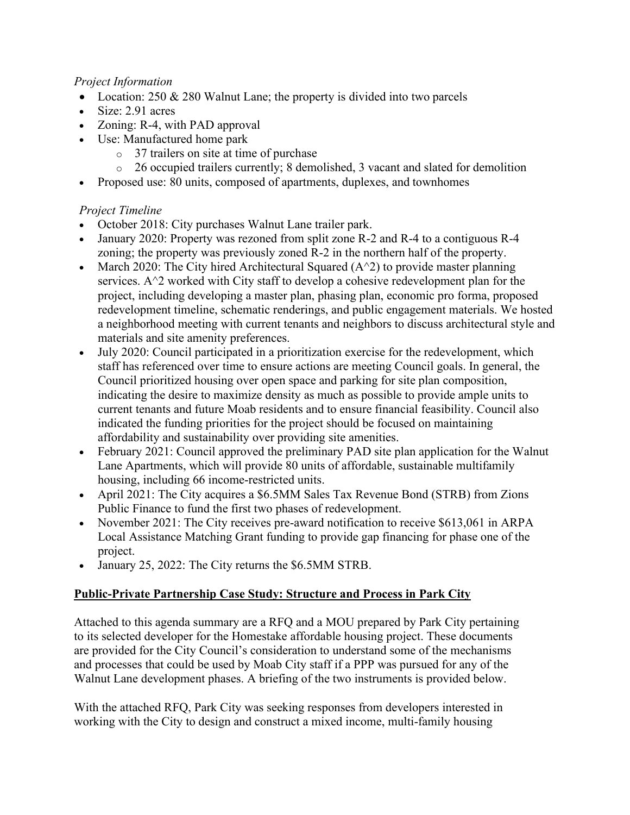## *Project Information*

- Location: 250 & 280 Walnut Lane; the property is divided into two parcels
- Size: 2.91 acres
- Zoning: R-4, with PAD approval
- Use: Manufactured home park
	- o 37 trailers on site at time of purchase
	- o 26 occupied trailers currently; 8 demolished, 3 vacant and slated for demolition
- Proposed use: 80 units, composed of apartments, duplexes, and townhomes

## *Project Timeline*

- October 2018: City purchases Walnut Lane trailer park.
- January 2020: Property was rezoned from split zone R-2 and R-4 to a contiguous R-4 zoning; the property was previously zoned R-2 in the northern half of the property.
- March 2020: The City hired Architectural Squared  $(A^2)$  to provide master planning services.  $A^2$  worked with City staff to develop a cohesive redevelopment plan for the project, including developing a master plan, phasing plan, economic pro forma, proposed redevelopment timeline, schematic renderings, and public engagement materials. We hosted a neighborhood meeting with current tenants and neighbors to discuss architectural style and materials and site amenity preferences.
- July 2020: Council participated in a prioritization exercise for the redevelopment, which staff has referenced over time to ensure actions are meeting Council goals. In general, the Council prioritized housing over open space and parking for site plan composition, indicating the desire to maximize density as much as possible to provide ample units to current tenants and future Moab residents and to ensure financial feasibility. Council also indicated the funding priorities for the project should be focused on maintaining affordability and sustainability over providing site amenities.
- February 2021: Council approved the preliminary PAD site plan application for the Walnut Lane Apartments, which will provide 80 units of affordable, sustainable multifamily housing, including 66 income-restricted units.
- April 2021: The City acquires a \$6.5MM Sales Tax Revenue Bond (STRB) from Zions Public Finance to fund the first two phases of redevelopment.
- November 2021: The City receives pre-award notification to receive \$613,061 in ARPA Local Assistance Matching Grant funding to provide gap financing for phase one of the project.
- January 25, 2022: The City returns the \$6.5MM STRB.

# **Public-Private Partnership Case Study: Structure and Process in Park City**

Attached to this agenda summary are a RFQ and a MOU prepared by Park City pertaining to its selected developer for the Homestake affordable housing project. These documents are provided for the City Council's consideration to understand some of the mechanisms and processes that could be used by Moab City staff if a PPP was pursued for any of the Walnut Lane development phases. A briefing of the two instruments is provided below.

With the attached RFQ, Park City was seeking responses from developers interested in working with the City to design and construct a mixed income, multi-family housing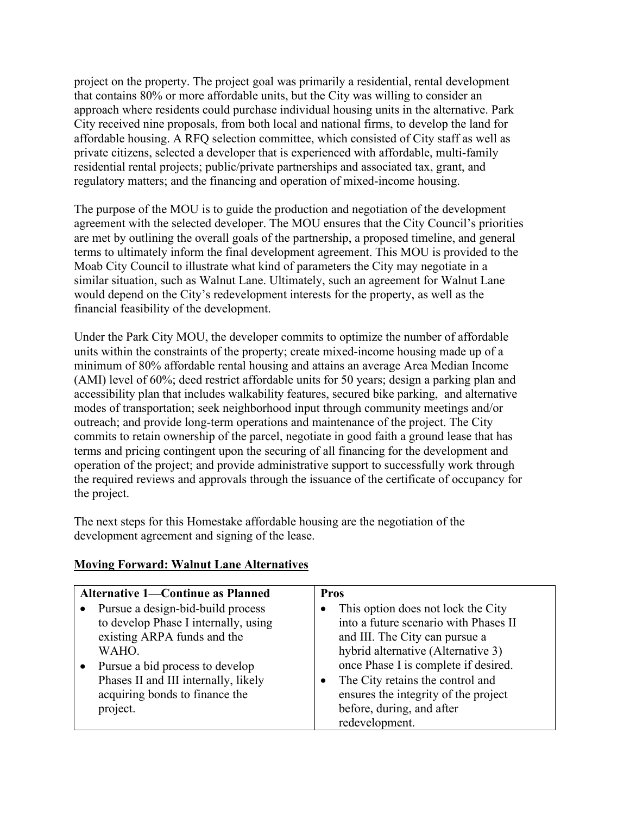project on the property. The project goal was primarily a residential, rental development that contains 80% or more affordable units, but the City was willing to consider an approach where residents could purchase individual housing units in the alternative. Park City received nine proposals, from both local and national firms, to develop the land for affordable housing. A RFQ selection committee, which consisted of City staff as well as private citizens, selected a developer that is experienced with affordable, multi-family residential rental projects; public/private partnerships and associated tax, grant, and regulatory matters; and the financing and operation of mixed-income housing.

The purpose of the MOU is to guide the production and negotiation of the development agreement with the selected developer. The MOU ensures that the City Council's priorities are met by outlining the overall goals of the partnership, a proposed timeline, and general terms to ultimately inform the final development agreement. This MOU is provided to the Moab City Council to illustrate what kind of parameters the City may negotiate in a similar situation, such as Walnut Lane. Ultimately, such an agreement for Walnut Lane would depend on the City's redevelopment interests for the property, as well as the financial feasibility of the development.

Under the Park City MOU, the developer commits to optimize the number of affordable units within the constraints of the property; create mixed-income housing made up of a minimum of 80% affordable rental housing and attains an average Area Median Income (AMI) level of 60%; deed restrict affordable units for 50 years; design a parking plan and accessibility plan that includes walkability features, secured bike parking, and alternative modes of transportation; seek neighborhood input through community meetings and/or outreach; and provide long-term operations and maintenance of the project. The City commits to retain ownership of the parcel, negotiate in good faith a ground lease that has terms and pricing contingent upon the securing of all financing for the development and operation of the project; and provide administrative support to successfully work through the required reviews and approvals through the issuance of the certificate of occupancy for the project.

The next steps for this Homestake affordable housing are the negotiation of the development agreement and signing of the lease.

| <b>Alternative 1—Continue as Planned</b> | <b>Pros</b>                           |
|------------------------------------------|---------------------------------------|
| Pursue a design-bid-build process        | This option does not lock the City    |
| to develop Phase I internally, using     | into a future scenario with Phases II |
| existing ARPA funds and the              | and III. The City can pursue a        |
| WAHO.                                    | hybrid alternative (Alternative 3)    |
| Pursue a bid process to develop          | once Phase I is complete if desired.  |
| Phases II and III internally, likely     | The City retains the control and      |
| acquiring bonds to finance the           | ensures the integrity of the project  |
| project.                                 | before, during, and after             |
|                                          | redevelopment.                        |

# **Moving Forward: Walnut Lane Alternatives**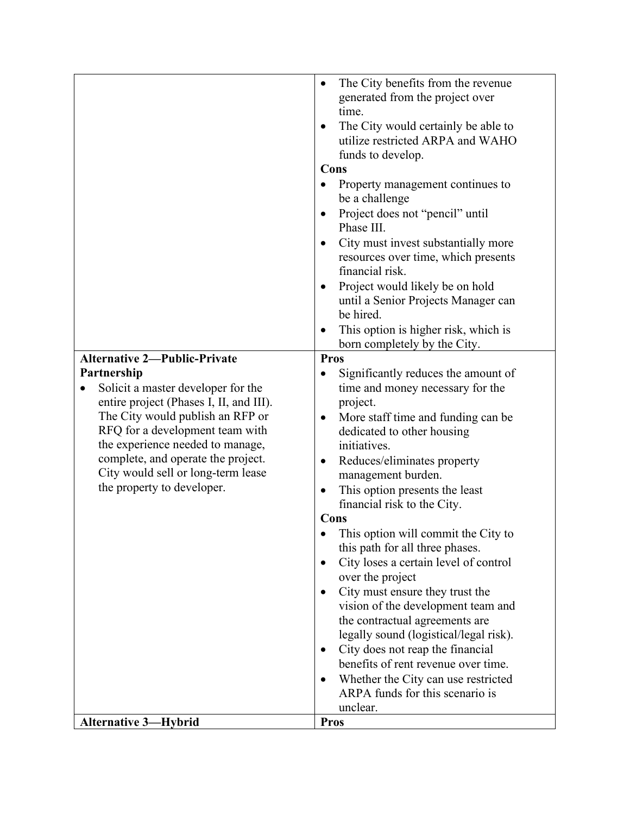|                                         | The City benefits from the revenue<br>$\bullet$ |
|-----------------------------------------|-------------------------------------------------|
|                                         | generated from the project over                 |
|                                         | time.                                           |
|                                         | The City would certainly be able to             |
|                                         | utilize restricted ARPA and WAHO                |
|                                         | funds to develop.                               |
|                                         | Cons                                            |
|                                         | Property management continues to                |
|                                         | be a challenge                                  |
|                                         | Project does not "pencil" until                 |
|                                         | Phase III.                                      |
|                                         |                                                 |
|                                         | City must invest substantially more             |
|                                         | resources over time, which presents             |
|                                         | financial risk.                                 |
|                                         | Project would likely be on hold                 |
|                                         | until a Senior Projects Manager can             |
|                                         | be hired.                                       |
|                                         | This option is higher risk, which is            |
|                                         | born completely by the City.                    |
| <b>Alternative 2-Public-Private</b>     | Pros                                            |
| Partnership                             | Significantly reduces the amount of             |
| Solicit a master developer for the      | time and money necessary for the                |
| entire project (Phases I, II, and III). | project.                                        |
| The City would publish an RFP or        | More staff time and funding can be              |
| RFQ for a development team with         | dedicated to other housing                      |
| the experience needed to manage,        | initiatives.                                    |
| complete, and operate the project.      | Reduces/eliminates property<br>٠                |
| City would sell or long-term lease      | management burden.                              |
| the property to developer.              | This option presents the least<br>$\bullet$     |
|                                         | financial risk to the City.                     |
|                                         | Cons                                            |
|                                         | This option will commit the City to             |
|                                         | this path for all three phases.                 |
|                                         | City loses a certain level of control           |
|                                         | over the project                                |
|                                         | City must ensure they trust the                 |
|                                         | vision of the development team and              |
|                                         | the contractual agreements are                  |
|                                         | legally sound (logistical/legal risk).          |
|                                         | City does not reap the financial<br>$\bullet$   |
|                                         | benefits of rent revenue over time.             |
|                                         | Whether the City can use restricted             |
|                                         | ARPA funds for this scenario is                 |
|                                         | unclear.                                        |
| <b>Alternative 3-Hybrid</b>             | <b>Pros</b>                                     |